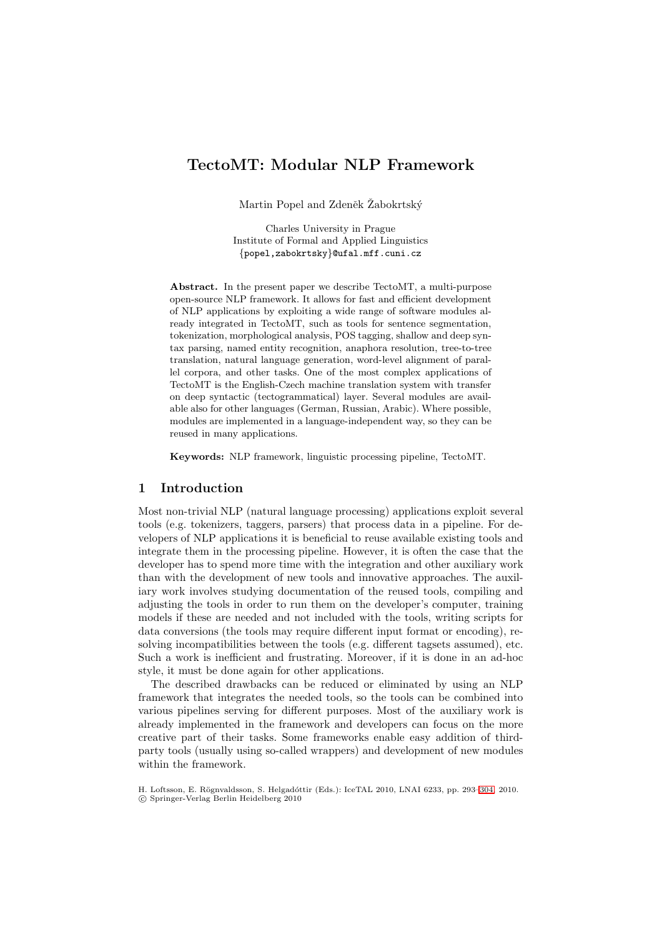# **TectoMT: Modular NLP Framework**

Martin Popel and Zdeněk Žabokrtský

Charles University in Prague Institute of Formal and Applied Linguistics *{*popel,zabokrtsky*}*@ufal.mff.cuni.cz

**Abstract.** In the present paper we describe TectoMT, a multi-purpose open-source NLP framework. It allows for fast and efficient development of NLP applications by exploiting a wide range of software modules already integrated in TectoMT, such as tools for sentence segmentation, tokenization, morphological analysis, POS tagging, shallow and deep syntax parsing, named entity recognition, anaphora resolution, tree-to-tree translation, natural language generation, word-level alignment of parallel corpora, and other tasks. One of the most complex applications of TectoMT is the English-Czech machine translation system with transfer on deep syntactic (tectogrammatical) layer. Several modules are available also for other languages (German, Russian, Arabic). Where possible, modules are implemented in a language-independent way, so they can be reused in many applications.

**Keywords:** NLP framework, linguistic processing pipeline, TectoMT.

### **1 Introduction**

Most non-trivial NLP (natural language processing) applications exploit several tools (e.g. tokenizers, taggers, parsers) that process data in a pipeline. For developers of NLP applications it is beneficial to reuse available existing tools and integrate them in the processing pipeline. However, it is often the case that the developer has to spend more time with the integration and other auxiliary work than with the development of new tools and innovative approaches. The auxiliary work involves studying documentation of the reused tools, compiling and adjusting the tools in order to run them on the developer's computer, training models if these are needed and not included with the tools, writing scripts for data conversions (the tools may require different input format or encoding), resolving incompatibilities between the tools (e.g. different tagsets assumed), etc. Such a work is inefficient and frustrating. Moreover, if it is done in an ad-hoc style, it must be done again for other applications.

The described drawbacks can be reduced or eliminated by using an NLP framework that integrates the needed tools, so the tools can be combined into various pipelines serving for different purposes. Most of the auxiliary work is already implemented in the framework and developers can focus on the more creative part of their tasks. Some frameworks enable easy addition of thirdparty tools (usually using so-called wrappers) and development of new modules within the framework.

H. Loftsson, E. Rögnvaldsson, S. Helgadóttir (Eds.): IceTAL 2010, LNAI 6233, pp. 293–304, 2010. -c Springer-Verlag Berlin Heidelberg 2010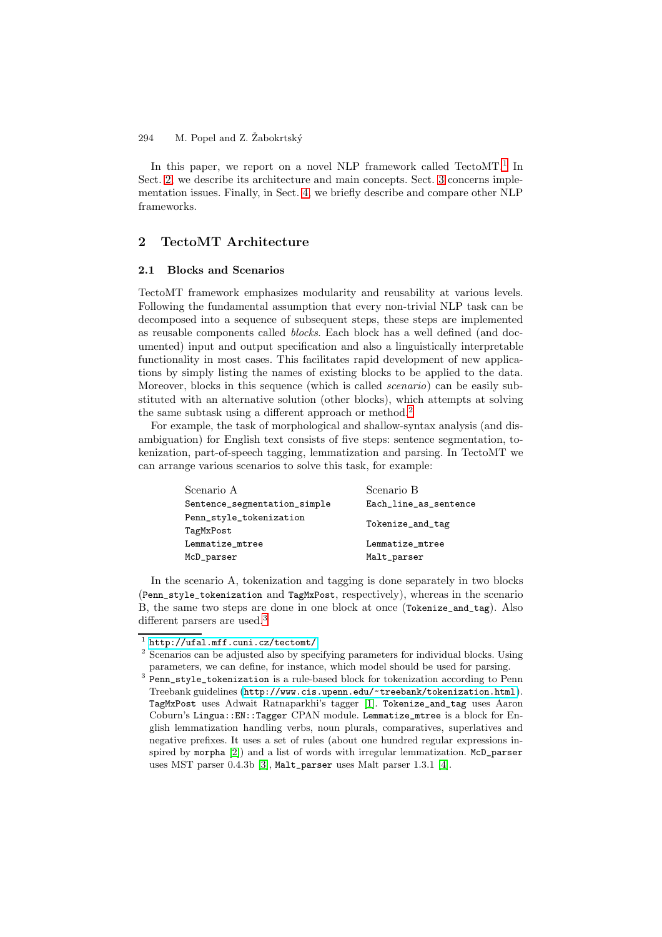#### 294 M. Popel and Z.  $\check{Z}$ abokrtský

In this paper, we report on a novel NLP framework called  $TectoMT<sup>1</sup>$  In Sect. 2, we describe its architecture and main concepts. Sect. 3 concerns implementation issues. Finally, in Sect. 4, we briefly describe and compare other NLP frameworks.

# **2 [Te](#page-1-0)ctoMT Architectu[re](#page-7-0)**

#### **2.1 Blocks and Scenarios**

<span id="page-1-0"></span>TectoMT framework emphasizes modularity and reusability at various levels. Following the fundamental assumption that every non-trivial NLP task can be decomposed into a sequence of subsequent steps, these steps are implemented as reusable components called *blocks*. Each block has a well defined (and documented) input and output specification and also a linguistically interpretable functionality in most cases. This facilitates rapid development of new applications by simply listing the names of existing blocks to be applied to the data. Moreover, blocks in this sequence (which is called *scenario*) can be easily substituted with an alternative solution (other blocks), which attempts at solving the same subtask using a different approach or method.<sup>2</sup>

For example, the task of morphological and shallow-syntax analysis (and disambiguation) for English text consists of five steps: sentence segmentation, tokenization, part-of-speech tagging, lemmatization and parsing. In TectoMT we can arrange various scenarios to solve this task, for example:

| Scenario A                           | Scenario B            |
|--------------------------------------|-----------------------|
| Sentence_segmentation_simple         | Each_line_as_sentence |
| Penn_style_tokenization<br>TagMxPost | Tokenize_and_tag      |
| Lemmatize_mtree                      | Lemmatize_mtree       |
| McD_parser                           | Malt_parser           |
|                                      |                       |

In the scenario A, tokenization and tagging is done separately in two blocks (Penn\_style\_tokenization and TagMxPost, respectively), whereas in the scenario B, the same two steps are done in one block at once (Tokenize\_and\_tag). Also different parsers are used.<sup>3</sup>

 $^{\rm 1}$ http://ufal.mff.cuni.cz/tectomt/

<sup>2</sup> Scenarios can be adjusted also by specifying parameters for individual blocks. Using parameters, we can define, for instance, which model should be used for parsing.

 $^3$  Penn\_style\_tokenization is a rule-based block for tokenization according to Penn Treebank guidelines (http://www.cis.upenn.edu/~treebank/tokenization.html). TagMxPost [uses](http://ufal.mff.cuni.cz/tectomt/) [Adwait](http://ufal.mff.cuni.cz/tectomt/) [Ratnaparkhi](http://ufal.mff.cuni.cz/tectomt/)'s tagger [1]. Tokenize\_and\_tag uses Aaron Coburn's Lingua::EN::Tagger CPAN module. Lemmatize\_mtree is a block for English lemmatization handling verbs, noun plurals, comparatives, superlatives and negative prefixes. It uses a set of rules (about one hundred regular expressions inspired by morpha [2][\)](http://www.cis.upenn.edu/~treebank/tokenization.html) [and](http://www.cis.upenn.edu/~treebank/tokenization.html) [a](http://www.cis.upenn.edu/~treebank/tokenization.html) [list](http://www.cis.upenn.edu/~treebank/tokenization.html) [of](http://www.cis.upenn.edu/~treebank/tokenization.html) [words](http://www.cis.upenn.edu/~treebank/tokenization.html) [with](http://www.cis.upenn.edu/~treebank/tokenization.html) [irregular](http://www.cis.upenn.edu/~treebank/tokenization.html) [lemmatization.](http://www.cis.upenn.edu/~treebank/tokenization.html) McD\_parser uses MST parser 0.4.3b [3], Malt\_parser uses Malt parser 1.3.1 [4].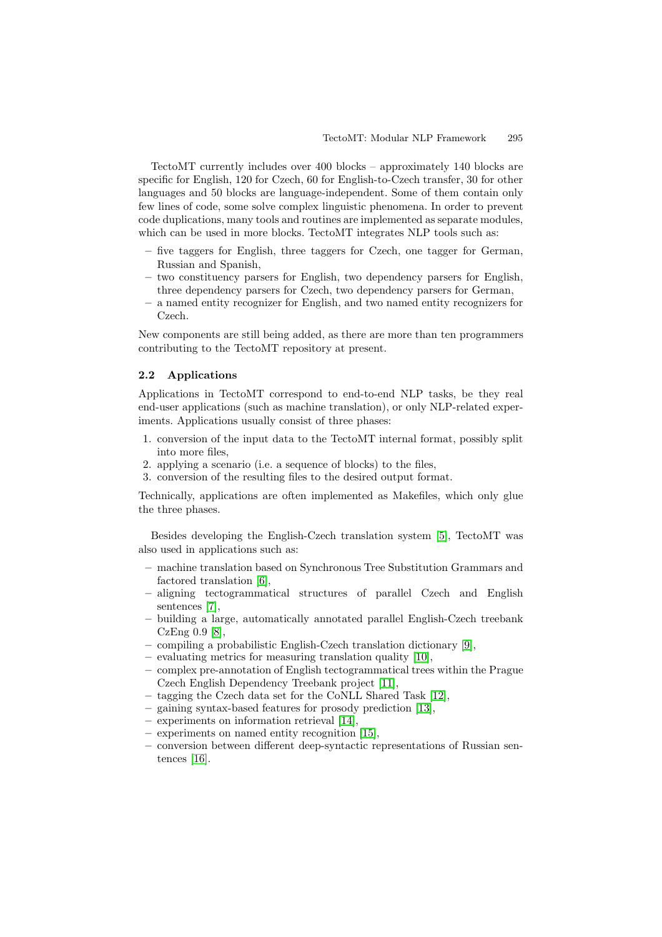TectoMT currently includes over 400 blocks – approximately 140 blocks are specific for English, 120 for Czech, 60 for English-to-Czech transfer, 30 for other languages and 50 blocks are language-independent. Some of them contain only few lines of code, some solve complex linguistic phenomena. In order to prevent code duplications, many tools and routines are implemented as separate modules, which can be used in more blocks. TectoMT integrates NLP tools such as:

- **–** five taggers for English, three taggers for Czech, one tagger for German, Russian and Spanish,
- **–** two constituency parsers for English, two dependency parsers for English, three dependency parsers for Czech, two dependency parsers for German,
- **–** a named entity recognizer for English, and two named entity recognizers for Czech.

New components are still being added, as there are more than ten programmers contributing to the TectoMT repository at present.

#### **2.2 Applications**

Applications in TectoMT correspond to end-to-end NLP tasks, be they real end-user applications (such as machine translation), or only NLP-related experiments. Applications usually consist of three phases:

- 1. conversion of the input data to the TectoMT internal format, possibly split into more files,
- 2. applying a scenario (i.e. a sequence of blocks) to the files,
- 3. conversion of the resulting files to the desired output format.

Technically, applications are often implemented as Makefiles, which only glue the three phases.

Besides developing the English-Czech translation system [5], TectoMT was also used in applications such as:

- **–** machine translation based on Synchronous Tree Substitution Grammars and factored translation [6],
- **–** aligning tectogrammatical structures of parallel Cz[ech](#page-9-1) and English sentences [7],
- **–** building a large, automatically annotated parallel English-Czech treebank CzEng 0.9 [8],
- **–** compiling a probabil[ist](#page-9-2)ic English-Czech translation dictionary [9],
- **–** evaluating [m](#page-9-3)etrics for measuring translation quality [10],
- **–** complex pre-annotation of English tectogrammatical trees within the Prague Czech Engl[ish](#page-9-4) Dependency Treebank project [11],
- **–** tagging the Czech data set for the CoNLL Shared Task [12],
- **–** gaining syntax-based features for prosody prediction [\[13](#page-9-5)],
- **–** experiments on information retrieval [14],
- **–** experiments on named entity recognition [15],
- **–** conversion between different deep-syntactic r[epre](#page-9-6)sentati[ons](#page-9-7) of Russian sentences [16].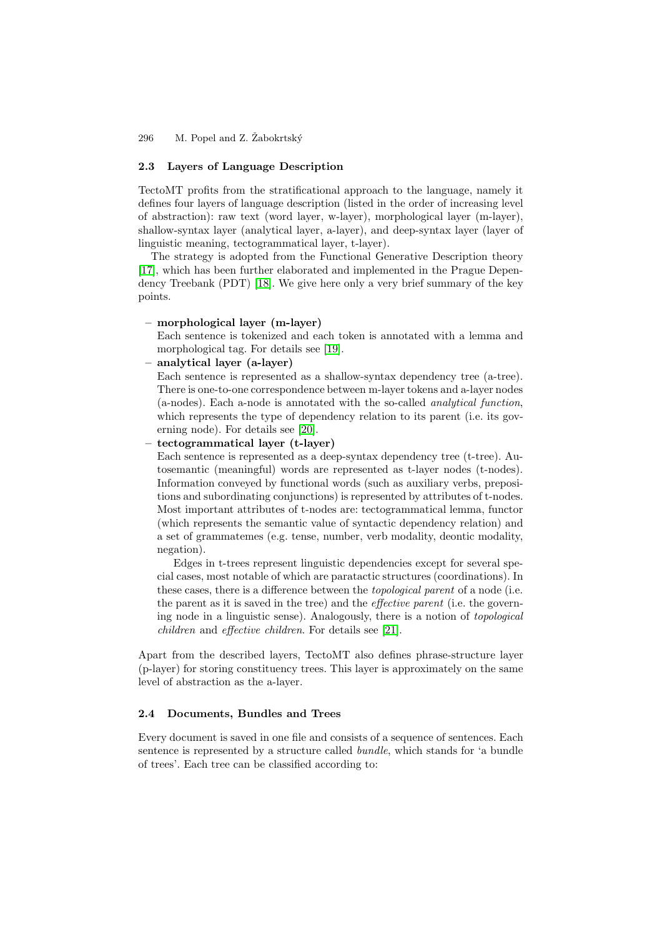296 M. Popel and Z.  $\check{Z}$ abokrtský

#### **2.3 Layers of Language Description**

TectoMT profits from the stratificational approach to the language, namely it defines four layers of language description (listed in the order of increasing level of abstraction): raw text (word layer, w-layer), morphological layer (m-layer), shallow-syntax layer (analytical layer, a-layer), and deep-syntax layer (layer of linguistic meaning, tectogrammatical layer, t-layer).

The strategy is adopted from the Functional Generative Description theory [17], which has been further elaborated and implemented in the Prague Dependency Treebank (PDT) [18]. We give here only a very brief summary of the key points.

#### **[–](#page-10-0) morphological layer (m-layer)**

Each sentence is to[keni](#page-10-1)zed and each token is annotated with a lemma and morphological tag. For details see [19].

**– analytical layer (a-layer)**

Each sentence is represented as a shallow-syntax dependency tree (a-tree). There is one-to-one correspondence between m-layer tokens and a-layer nodes (a-nodes). Each a-node is annotat[ed w](#page-10-2)ith the so-called *analytical function*, which represents the type of dependency relation to its parent (i.e. its governing node). For details see [20].

#### **– tectogrammatical layer (t-layer)**

Each sentence is represented as a deep-syntax dependency tree (t-tree). Autosemantic (meaningful) words are represented as t-layer nodes (t-nodes). Information conveyed by fun[ctio](#page-10-3)nal words (such as auxiliary verbs, prepositions and subordinating conjunctions) is represented by attributes of t-nodes. Most important attributes of t-nodes are: tectogrammatical lemma, functor (which represents the semantic value of syntactic dependency relation) and a set of grammatemes (e.g. tense, number, verb modality, deontic modality, negation).

Edges in t-trees represent linguistic dependencies except for several special cases, most notable of which are paratactic structures (coordinations). In these cases, there is a difference between the *topological parent* of a node (i.e. the parent as it is saved in the tree) and the *effective parent* (i.e. the governing node in a linguistic sense). Analogously, there is a notion of *topological children* and *effective children*. For details see [21].

Apart from the described layers, TectoMT also defines phrase-structure layer (p-layer) for storing constituency trees. This layer is approximately on the same level of abstraction as the a-layer.

#### **2.4 Documents, Bundles and Trees**

Every document is saved in one file and consists of a sequence of sentences. Each sentence is represented by a structure called *bundle*, which stands for 'a bundle of trees'. Each tree can be classified according to: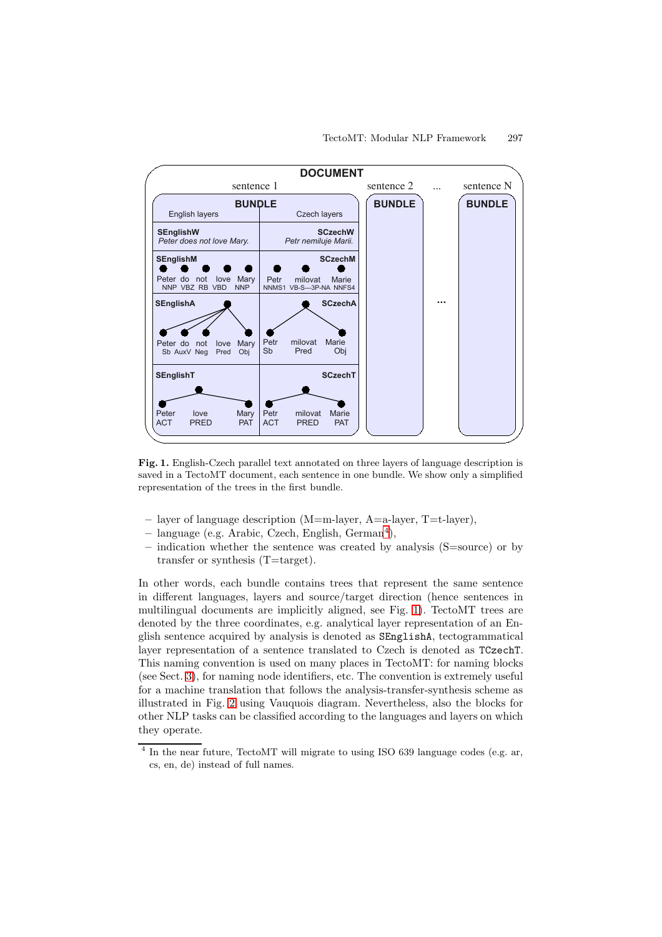

**Fig. 1.** English-Czech parallel text annotated on three layers of language description is saved in a TectoMT document, each sentence in one bundle. We show only a simplified representation of the trees in the first bundle.

- **–** layer of language description (M=m-layer, A=a-layer, T=t-layer),
- <span id="page-4-0"></span>**–** language (e.g. Arabic, Czech, English, German<sup>4</sup>),
- **–** indication whether the sentence was created by analysis (S=source) or by transfer or synthesis (T=target).

In other words, each bundle contains trees that represent the same sentence in different languages, layers and source/target direction (hence sentences in multilingual documents are implicitly aligned, see Fig. 1). TectoMT trees are denoted by the three coordinates, e.g. analytical layer representation of an English sentence acquired by analysis is denoted as SEnglishA, tectogrammatical layer representation of a sentence translated to Czech is denoted as TCzechT. This naming convention is used on many places in Tect[oM](#page-4-0)T: for naming blocks (see Sect. 3), for naming node identifiers, etc. The convention is extremely useful for a machine translation that follows the analysis-transfer-synthesis scheme as illustrated in Fig. 2 using Vauquois diagram. Nevertheless, also the blocks for other NLP tasks can be classified according to the languages and layers on which they oper[at](#page-5-0)e.

<sup>4</sup> In the near futur[e,](#page-5-1) TectoMT will migrate to using ISO 639 language codes (e.g. ar, cs, en, de) instead of full names.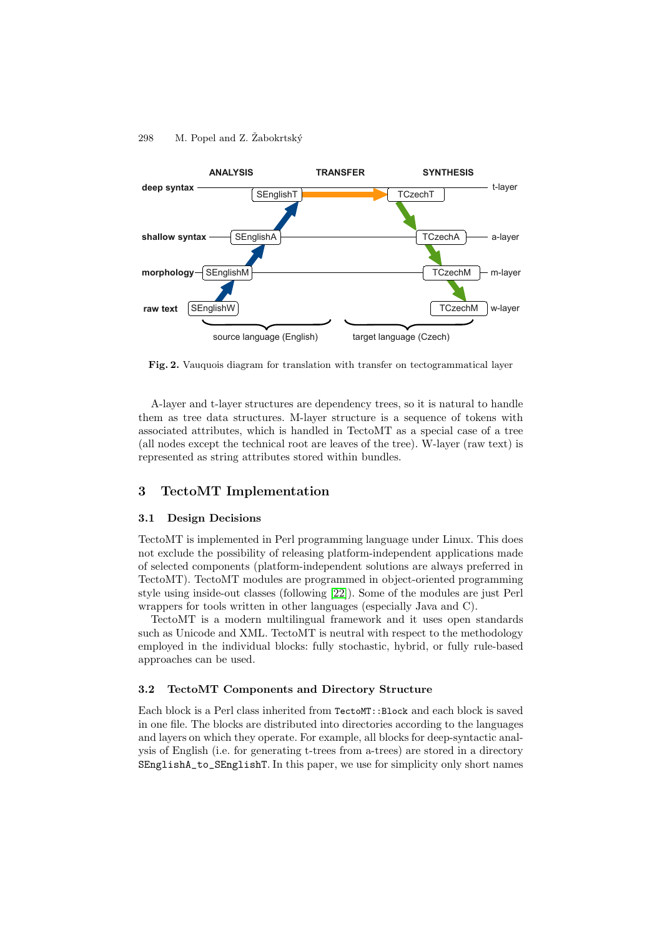#### 298 M. Popel and Z.  $\check{Z}$ abokrtský



**Fig. 2.** Vauquois diagram for translation with transfer on tectogrammatical layer

<span id="page-5-1"></span>A-layer and t-layer structures are dependency trees, so it is natural to handle them as tree data structures. M-layer structure is a sequence of tokens with associated attributes, which is handled in TectoMT as a special case of a tree (all nodes except the technical root are leaves of the tree). W-layer (raw text) is represented as string attributes stored within bundles.

# **3 TectoMT Implementation**

#### **3.1 Design Decisions**

<span id="page-5-0"></span>TectoMT is implemented in Perl programming language under Linux. This does not exclude the possibility of releasing platform-independent applications made of selected components (platform-independent solutions are always preferred in TectoMT). TectoMT modules are programmed in object-oriented programming style using inside-out classes (following [22]). Some of the modules are just Perl wrappers for tools written in other languages (especially Java and C).

TectoMT is a modern multilingual framework and it uses open standards such as Unicode and XML. TectoMT is neutral with respect to the methodology employed in the individual blocks: full[y st](#page-10-4)ochastic, hybrid, or fully rule-based approaches can be used.

### **3.2 TectoMT Components and Directory Structure**

Each block is a Perl class inherited from TectoMT::Block and each block is saved in one file. The blocks are distributed into directories according to the languages and layers on which they operate. For example, all blocks for deep-syntactic analysis of English (i.e. for generating t-trees from a-trees) are stored in a directory SEnglishA\_to\_SEnglishT. In this paper, we use for simplicity only short names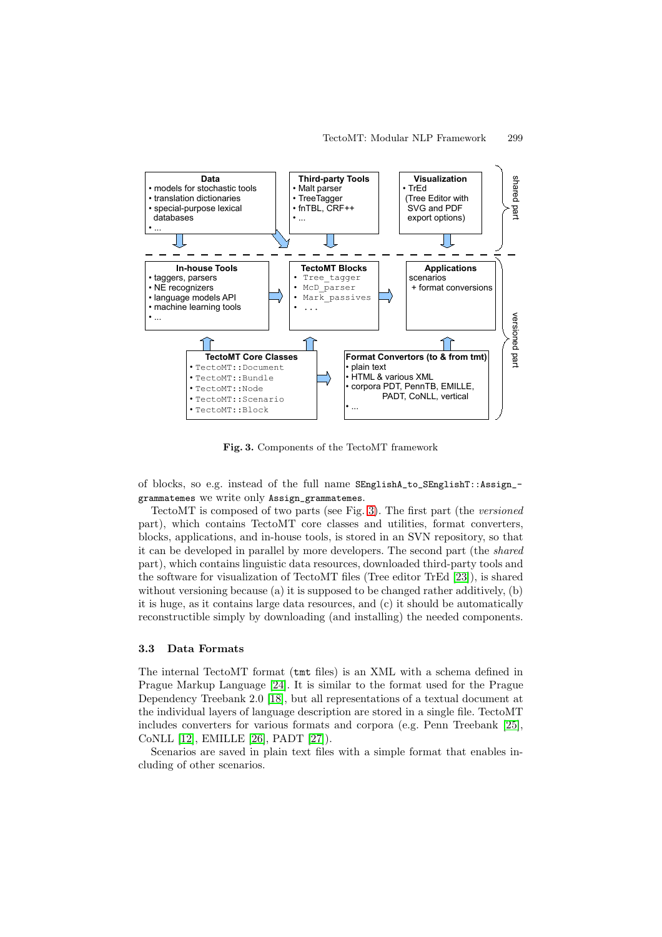

<span id="page-6-0"></span>**Fig. 3.** Components of the TectoMT framework

of blocks, so e.g. instead of the full name SEnglishA\_to\_SEnglishT::Assign\_ grammatemes we write only Assign\_grammatemes.

TectoMT is composed of two parts (see Fig. 3). The first part (the *versioned* part), which contains TectoMT core classes and utilities, format converters, blocks, applications, and in-house tools, is stored in an SVN repository, so that it can be developed in parallel by more developers. The second part (the *shared* part), which contains linguistic data resources, [dow](#page-6-0)nloaded third-party tools and the software for visualization of TectoMT files (Tree editor TrEd [23]), is shared without versioning because (a) it is supposed to be changed rather additively,  $(b)$ it is huge, as it contains large data resources, and (c) it should be automatically reconstructible simply by downloading (and installing) the needed components.

#### **3.3 Data Formats**

The internal TectoMT format (tmt files) is an XML with a schema defined in Prague Markup Language [24]. It is similar to the format used for the Prague Dependency Treebank 2.0 [18], but all representations of a textual document at the individual layers of language description are stored in a single file. TectoMT includes converters for various formats and corpora (e.g. Penn Treebank [25], CoNLL [12], EMILLE [26], [PA](#page-10-5)DT [27]).

Scenarios are saved in [plain](#page-10-1) text files with a simple format that enables including of other scenarios.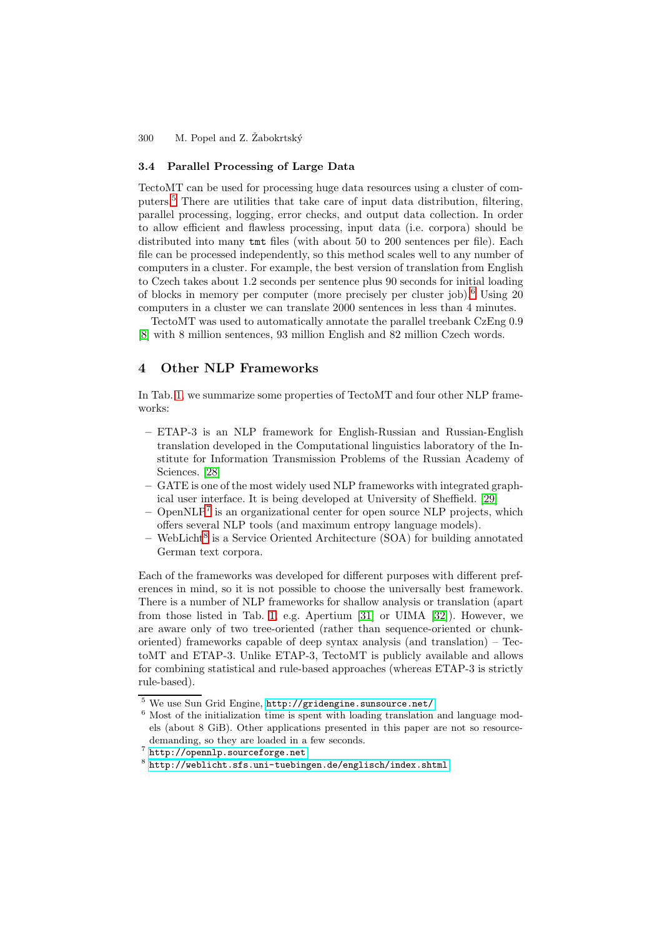$300$  M. Popel and Z. Žabokrtský

#### **3.4 Parallel Processing of Large Data**

TectoMT can be used for processing huge data resources using a cluster of computers.<sup>5</sup> There are utilities that take care of input data distribution, filtering, parallel processing, logging, error checks, and output data collection. In order to allow efficient and flawless processing, input data (i.e. corpora) should be distributed into many tmt files (with about 50 to 200 sentences per file). Each file can be processed independently, so this method scales well to any number of computers in a cluster. For example, the best version of translation from English to Czech takes about 1.2 seconds per sentence plus 90 seconds for initial loading of blocks in memory per computer (more precisely per cluster job).<sup>6</sup> Using 20 computers in a cluster we can translate 2000 sentences in less than 4 minutes.

TectoMT was used to automatically annotate the parallel treebank CzEng 0.9 [8] with 8 million sentences, 93 million English and 82 million Czech words.

# **4 Other NLP Frameworks**

<span id="page-7-0"></span>[In](#page-9-4) Tab. 1, we summarize some properties of TectoMT and four other NLP frameworks:

- **–** ETAP-3 is an NLP framework for English-Russian and Russian-English tra[nsl](#page-8-0)ation developed in the Computational linguistics laboratory of the Institute for Information Transmission Problems of the Russian Academy of Sciences. [28]
- **–** GATE is one of the most widely used NLP frameworks with integrated graphical user interface. It is being developed at University of Sheffield. [29]
- **–** OpenNLP<sup>7</sup> is an organizational center for open source NLP projects, which offers sev[eral](#page-10-6) NLP tools (and maximum entropy language models).
- **–** WebLicht<sup>8</sup> is a Service Oriented Architecture (SOA) for building annotated German text corpora.

Each of the frameworks was developed for different purposes with different preferences in mind, so it is not possible to choose the universally best framework. There is a number of NLP frameworks for shallow analysis or translation (apart from those listed in Tab. 1, e.g. Apertium [31] or UIMA [32]). However, we are aware only of two tree-oriented (rather than sequence-oriented or chunkoriented) frameworks capable of deep syntax analysis (and translation) – TectoMT and ETAP-3. Unlike ETAP-3, TectoMT is publicly available and allows for combining statistical a[nd](#page-8-0) rule-based appr[oach](#page-11-0)es (whereas [ET](#page-11-1)AP-3 is strictly rule-based).

<sup>5</sup> We use Sun Grid Engine, http://gridengine.sunsource.net/

<sup>6</sup> Most of the initialization time is spent with loading translation and language models (about 8 GiB). Other applications presented in this paper are not so resourcedemanding, so they are loaded in a few seconds.

<sup>7</sup> http://opennlp.sourceforge.net

<sup>8</sup> http://weblicht.sfs.un[i-tuebingen.de/englisch/index.sht](http://gridengine.sunsource.net/)ml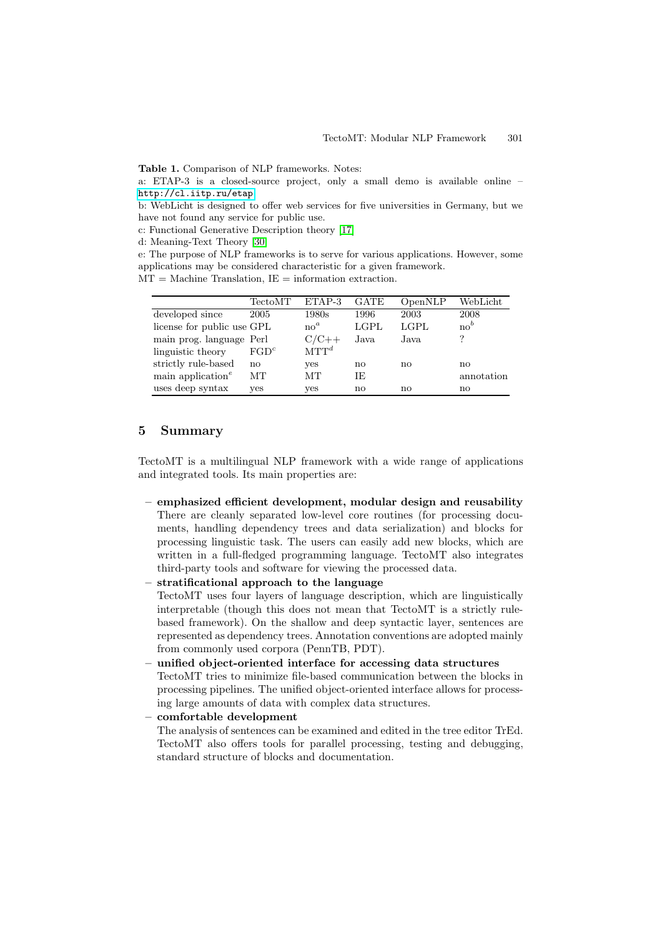**Table 1.** Comparison of NLP frameworks. Notes:

a: ETAP-3 is a closed-source project, only a small demo is available online – http://cl.iitp.ru/etap

b: WebLicht is designed to offer web services for five universities in Germany, but we have not found any service for public use.

<span id="page-8-0"></span>c: Functional Generative Description theory [17]

d: Meaning-Text Theory [30]

[e:](http://cl.iitp.ru/etap) [The](http://cl.iitp.ru/etap) [purpose](http://cl.iitp.ru/etap) [of](http://cl.iitp.ru/etap) [NLP](http://cl.iitp.ru/etap) [fra](http://cl.iitp.ru/etap)meworks is to serve for various applications. However, some applications may be considered characteristic for a given framework.

 $MT = Machine Translation, IE = information extraction.$  $MT = Machine Translation, IE = information extraction.$  $MT = Machine Translation, IE = information extraction.$ 

|                                            | TectoMT | $ETAP-3$ | GATE         | OpenNLP | WebLicht   |
|--------------------------------------------|---------|----------|--------------|---------|------------|
| developed since                            | 2005    | 1980s    | 1996         | 2003    | 2008       |
| license for public use GPL                 |         | $no^a$   | LGPL         | LGPL    | $no^b$     |
| main prog. language Perl                   |         | $C/C++$  | Java         | Java    | っ          |
| linguistic theory                          | $FGD^c$ | $MTT^d$  |              |         |            |
| strictly rule-based                        | no      | yes      | no           | no      | no         |
| main application <sup><math>e</math></sup> | MТ      | MТ       | IE.          |         | annotation |
| uses deep syntax                           | yes     | yes      | $\mathbf{n}$ | no      | no         |

### **5 Summary**

TectoMT is a multilingual NLP framework with a wide range of applications and integrated tools. Its main properties are:

**– emphasized efficient development, modular design and reusability** There are cleanly separated low-level core routines (for processing documents, handling dependency trees and data serialization) and blocks for processing linguistic task. The users can easily add new blocks, which are written in a full-fledged programming language. TectoMT also integrates third-party tools and software for viewing the processed data.

# **– stratificational approach to the language**

TectoMT uses four layers of language description, which are linguistically interpretable (though this does not mean that TectoMT is a strictly rulebased framework). On the shallow and deep syntactic layer, sentences are represented as dependency trees. Annotation conventions are adopted mainly from commonly used corpora (PennTB, PDT).

**– unified object-oriented interface for accessing data structures**

TectoMT tries to minimize file-based communication between the blocks in processing pipelines. The unified object-oriented interface allows for processing large amounts of data with complex data structures.

#### **– comfortable development**

The analysis of sentences can be examined and edited in the tree editor TrEd. TectoMT also offers tools for parallel processing, testing and debugging, standard structure of blocks and documentation.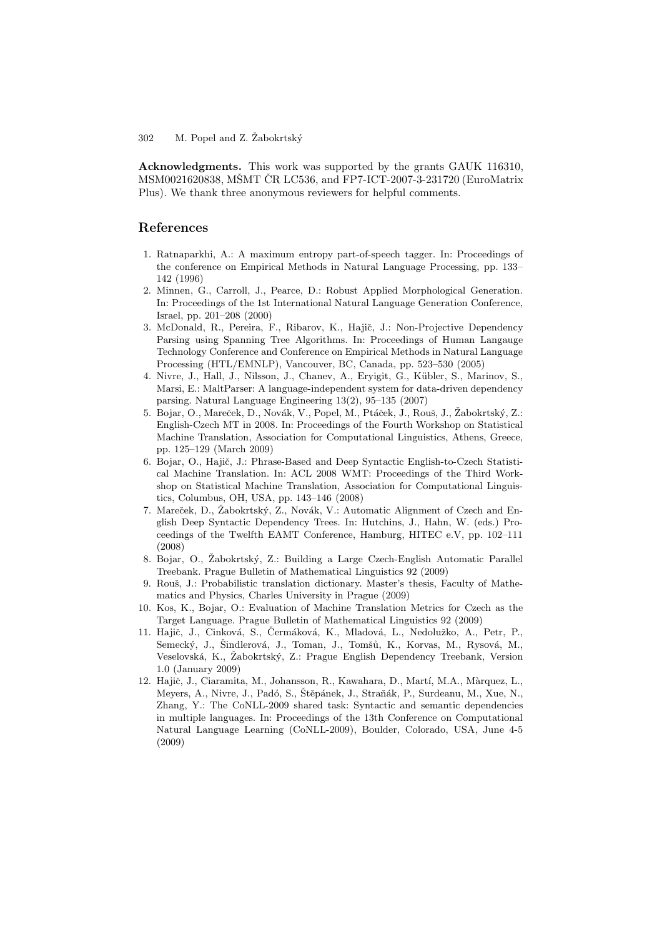#### $302$  M. Popel and Z. Žabokrtský

**Acknowledgments.** This work was supported by the grants GAUK 116310, MSM0021620838, MŠMT ČR LC536, and FP7-ICT-2007-3-231720 (EuroMatrix Plus). We thank three anonymous reviewers for helpful comments.

### <span id="page-9-0"></span>**References**

- 1. Ratnaparkhi, A.: A maximum entropy part-of-speech tagger. In: Proceedings of the conference on Empirical Methods in Natural Language Processing, pp. 133– 142 (1996)
- 2. Minnen, G., Carroll, J., Pearce, D.: Robust Applied Morphological Generation. In: Proceedings of the 1st International Natural Language Generation Conference, Israel, pp. 201–208 (2000)
- 3. McDonald, R., Pereira, F., Ribarov, K., Hajič, J.: Non-Projective Dependency Parsing using Spanning Tree Algorithms. In: Proceedings of Human Langauge Technology Conference and Conference on Empirical Methods in Natural Language Processing (HTL/EMNLP), Vancouver, BC, Canada, pp. 523–530 (2005)
- 4. Nivre, J., Hall, J., Nilsson, J., Chanev, A., Eryigit, G., Kübler, S., Marinov, S., Marsi, E.: MaltParser: A language-independent system for data-driven dependency parsing. Natural Language Engineering 13(2), 95–135 (2007)
- <span id="page-9-1"></span>5. Bojar, O., Mareček, D., Novák, V., Popel, M., Ptáček, J., Rouš, J., Žabokrtský, Z.: English-Czech MT in 2008. In: Proceedings of the Fourth Workshop on Statistical Machine Translation, Association for Computational Linguistics, Athens, Greece, pp. 125–129 (March 2009)
- <span id="page-9-2"></span>6. Bojar, O., Hajič, J.: Phrase-Based and Deep Syntactic English-to-Czech Statistical Machine Translation. In: ACL 2008 WMT: Proceedings of the Third Workshop on Statistical Machine Translation, Association for Computational Linguistics, Columbus, OH, USA, pp. 143–146 (2008)
- <span id="page-9-3"></span>7. Mareček, D., Žabokrtský, Z., Novák, V.: Automatic Alignment of Czech and English Deep Syntactic Dependency Trees. In: Hutchins, J., Hahn, W. (eds.) Proceedings of the Twelfth EAMT Conference, Hamburg, HITEC e.V, pp. 102–111 (2008)
- <span id="page-9-4"></span>8. Bojar, O., Žabokrtský, Z.: Building a Large Czech-English Automatic Parallel Treebank. Prague Bulletin of Mathematical Linguistics 92 (2009)
- 9. Rouš, J.: Probabilistic translation dictionary. Master's thesis, Faculty of Mathematics and Physics, Charles University in Prague (2009)
- <span id="page-9-5"></span>10. Kos, K., Bojar, O.: Evaluation of Machine Translation Metrics for Czech as the Target Language. Prague Bulletin of Mathematical Linguistics 92 (2009)
- <span id="page-9-6"></span>11. Hajič, J., Cinková, S., Čermáková, K., Mladová, L., Nedolužko, A., Petr, P., Semecký, J., Sindlerová, J., Toman, J., Tomšů, K., Korvas, M., Rysová, M., Veselovská, K., Žabokrtský, Z.: Prague English Dependency Treebank, Version 1.0 (January 2009)
- <span id="page-9-7"></span>12. Hajič, J., Ciaramita, M., Johansson, R., Kawahara, D., Martí, M.A., Màrquez, L., Meyers, A., Nivre, J., Padó, S., Štěpánek, J., Straňák, P., Surdeanu, M., Xue, N., Zhang, Y.: The CoNLL-2009 shared task: Syntactic and semantic dependencies in multiple languages. In: Proceedings of the 13th Conference on Computational Natural Language Learning (CoNLL-2009), Boulder, Colorado, USA, June 4-5 (2009)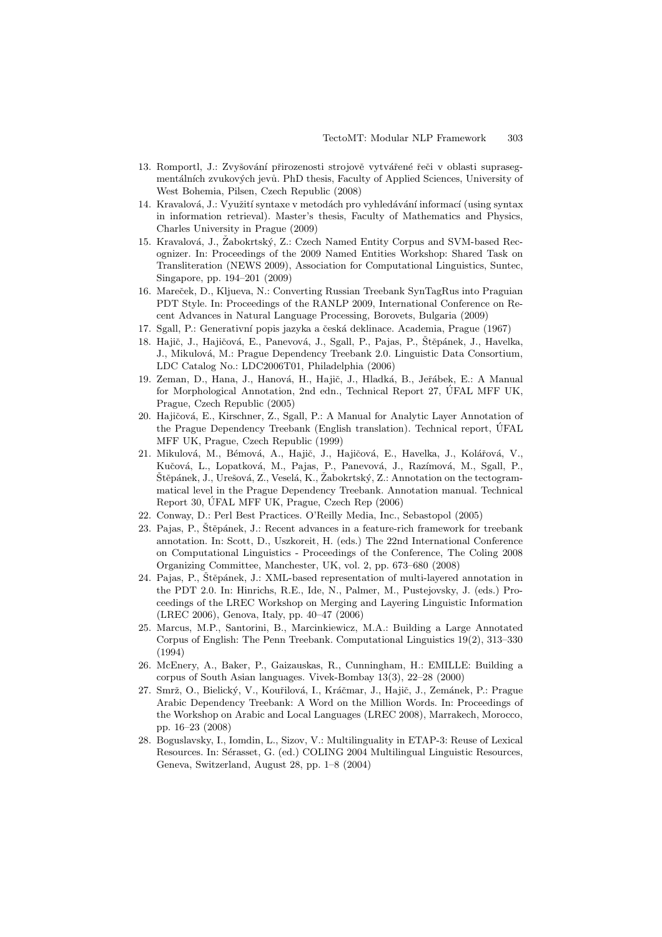- 13. Romportl, J.: Zvyšování přirozenosti strojově vytvářené řeči v oblasti suprasegmentálních zvukových jevů. PhD thesis, Faculty of Applied Sciences, University of West Bohemia, Pilsen, Czech Republic (2008)
- 14. Kravalová, J.: Využití syntaxe v metodách pro vyhledávání informací (using syntax in information retrieval). Master's thesis, Faculty of Mathematics and Physics, Charles University in Prague (2009)
- 15. Kravalová, J., Žabokrtský, Z.: Czech Named Entity Corpus and SVM-based Recognizer. In: Proceedings of the 2009 Named Entities Workshop: Shared Task on Transliteration (NEWS 2009), Association for Computational Linguistics, Suntec, Singapore, pp. 194–201 (2009)
- 16. Mareček, D., Kljueva, N.: Converting Russian Treebank SynTagRus into Praguian PDT Style. In: Proceedings of the RANLP 2009, International Conference on Recent Advances in Natural Language Processing, Borovets, Bulgaria (2009)
- <span id="page-10-1"></span><span id="page-10-0"></span>17. Sgall, P.: Generativní popis jazyka a česká deklinace. Academia, Prague (1967)
- 18. Hajič, J., Hajičová, E., Panevová, J., Sgall, P., Pajas, P., Štěpánek, J., Havelka, J., Mikulová, M.: Prague Dependency Treebank 2.0. Linguistic Data Consortium, LDC Catalog No.: LDC2006T01, Philadelphia (2006)
- <span id="page-10-2"></span>19. Zeman, D., Hana, J., Hanová, H., Hajič, J., Hladká, B., Jeřábek, E.: A Manual for Morphological Annotation, 2nd edn., Technical Report 27, ÚFAL MFF UK, Prague, Czech Republic (2005)
- <span id="page-10-3"></span>20. Hajičová, E., Kirschner, Z., Sgall, P.: A Manual for Analytic Layer Annotation of the Prague Dependency Treebank (English translation). Technical report, UFAL ´ MFF UK, Prague, Czech Republic (1999)
- 21. Mikulová, M., Bémová, A., Hajič, J., Hajičová, E., Havelka, J., Kolářová, V., Kučová, L., Lopatková, M., Pajas, P., Panevová, J., Razímová, M., Sgall, P., Štěpánek, J., Urešová, Z., Veselá, K., Žabokrtský, Z.: Annotation on the tectogrammatical level in the Prague Dependency Treebank. Annotation manual. Technical Report 30, UFAL MFF UK, Prague, Czech Rep (2006) ´
- <span id="page-10-4"></span>22. Conway, D.: Perl Best Practices. O'Reilly Media, Inc., Sebastopol (2005)
- 23. Pajas, P., Štěpánek, J.: Recent advances in a feature-rich framework for treebank annotation. In: Scott, D., Uszkoreit, H. (eds.) The 22nd International Conference on Computational Linguistics - Proceedings of the Conference, The Coling 2008 Organizing Committee, Manchester, UK, vol. 2, pp. 673–680 (2008)
- <span id="page-10-5"></span>24. Pajas, P., Štěpánek, J.: XML-based representation of multi-layered annotation in the PDT 2.0. In: Hinrichs, R.E., Ide, N., Palmer, M., Pustejovsky, J. (eds.) Proceedings of the LREC Workshop on Merging and Layering Linguistic Information (LREC 2006), Genova, Italy, pp. 40–47 (2006)
- 25. Marcus, M.P., Santorini, B., Marcinkiewicz, M.A.: Building a Large Annotated Corpus of English: The Penn Treebank. Computational Linguistics 19(2), 313–330 (1994)
- 26. McEnery, A., Baker, P., Gaizauskas, R., Cunningham, H.: EMILLE: Building a corpus of South Asian languages. Vivek-Bombay 13(3), 22–28 (2000)
- 27. Smrž, O., Bielický, V., Kouřilová, I., Kráčmar, J., Hajič, J., Zemánek, P.: Prague Arabic Dependency Treebank: A Word on the Million Words. In: Proceedings of the Workshop on Arabic and Local Languages (LREC 2008), Marrakech, Morocco, pp. 16–23 (2008)
- <span id="page-10-6"></span>28. Boguslavsky, I., Iomdin, L., Sizov, V.: Multilinguality in ETAP-3: Reuse of Lexical Resources. In: Sérasset, G. (ed.) COLING 2004 Multilingual Linguistic Resources, Geneva, Switzerland, August 28, pp. 1–8 (2004)